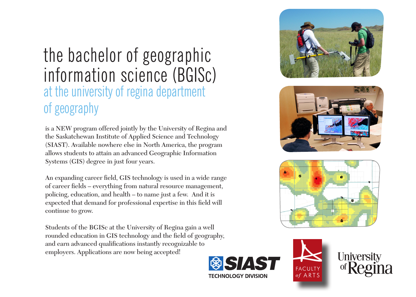# the bachelor of geographic information science (BGISc) at the university of regina department of geography

is a NEW program offered jointly by the University of Regina and the Saskatchewan Institute of Applied Science and Technology (SIAST). Available nowhere else in North America, the program allows students to attain an advanced Geographic Information Systems (GIS) degree in just four years.

An expanding career field, GIS technology is used in a wide range of career fields – everything from natural resource management, policing, education, and health – to name just a few. And it is expected that demand for professional expertise in this field will continue to grow.

Students of the BGISc at the University of Regina gain a well rounded education in GIS technology and the field of geography, and earn advanced qualifications instantly recognizable to employers. Applications are now being accepted!









**FACULTY** of ARTS